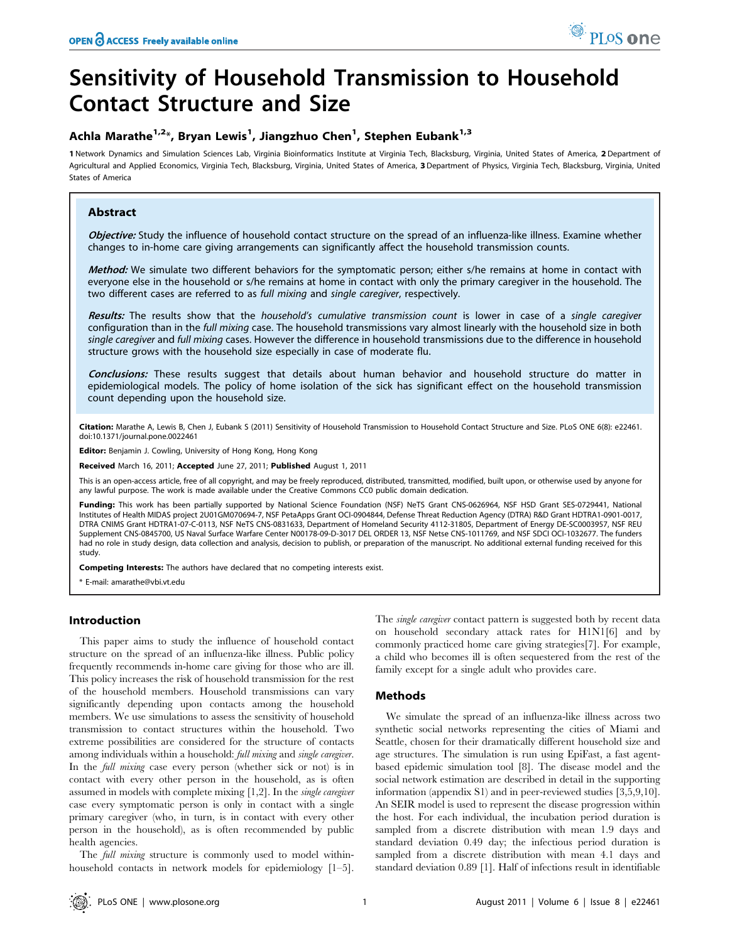# Sensitivity of Household Transmission to Household Contact Structure and Size

# Achla Marathe<sup>1,2</sup>\*, Bryan Lewis<sup>1</sup>, Jiangzhuo Chen<sup>1</sup>, Stephen Eubank<sup>1,3</sup>

1 Network Dynamics and Simulation Sciences Lab, Virginia Bioinformatics Institute at Virginia Tech, Blacksburg, Virginia, United States of America, 2 Department of Agricultural and Applied Economics, Virginia Tech, Blacksburg, Virginia, United States of America, 3 Department of Physics, Virginia Tech, Blacksburg, Virginia, United States of America

## Abstract

Objective: Study the influence of household contact structure on the spread of an influenza-like illness. Examine whether changes to in-home care giving arrangements can significantly affect the household transmission counts.

Method: We simulate two different behaviors for the symptomatic person; either s/he remains at home in contact with everyone else in the household or s/he remains at home in contact with only the primary caregiver in the household. The two different cases are referred to as full mixing and single caregiver, respectively.

Results: The results show that the household's cumulative transmission count is lower in case of a single caregiver configuration than in the full mixing case. The household transmissions vary almost linearly with the household size in both single caregiver and full mixing cases. However the difference in household transmissions due to the difference in household structure grows with the household size especially in case of moderate flu.

Conclusions: These results suggest that details about human behavior and household structure do matter in epidemiological models. The policy of home isolation of the sick has significant effect on the household transmission count depending upon the household size.

Citation: Marathe A, Lewis B, Chen J, Eubank S (2011) Sensitivity of Household Transmission to Household Contact Structure and Size. PLoS ONE 6(8): e22461. doi:10.1371/journal.pone.0022461

Editor: Benjamin J. Cowling, University of Hong Kong, Hong Kong

Received March 16, 2011; Accepted June 27, 2011; Published August 1, 2011

This is an open-access article, free of all copyright, and may be freely reproduced, distributed, transmitted, modified, built upon, or otherwise used by anyone for any lawful purpose. The work is made available under the Creative Commons CC0 public domain dedication.

Funding: This work has been partially supported by National Science Foundation (NSF) NeTS Grant CNS-0626964, NSF HSD Grant SES-0729441, National Institutes of Health MIDAS project 2U01GM070694-7, NSF PetaApps Grant OCI-0904844, Defense Threat Reduction Agency (DTRA) R&D Grant HDTRA1-0901-0017, DTRA CNIMS Grant HDTRA1-07-C-0113, NSF NeTS CNS-0831633, Department of Homeland Security 4112-31805, Department of Energy DE-SC0003957, NSF REU Supplement CNS-0845700, US Naval Surface Warfare Center N00178-09-D-3017 DEL ORDER 13, NSF Netse CNS-1011769, and NSF SDCI OCI-1032677. The funders had no role in study design, data collection and analysis, decision to publish, or preparation of the manuscript. No additional external funding received for this study.

Competing Interests: The authors have declared that no competing interests exist.

\* E-mail: amarathe@vbi.vt.edu

### Introduction

This paper aims to study the influence of household contact structure on the spread of an influenza-like illness. Public policy frequently recommends in-home care giving for those who are ill. This policy increases the risk of household transmission for the rest of the household members. Household transmissions can vary significantly depending upon contacts among the household members. We use simulations to assess the sensitivity of household transmission to contact structures within the household. Two extreme possibilities are considered for the structure of contacts among individuals within a household: full mixing and single caregiver. In the full mixing case every person (whether sick or not) is in contact with every other person in the household, as is often assumed in models with complete mixing [1,2]. In the single caregiver case every symptomatic person is only in contact with a single primary caregiver (who, in turn, is in contact with every other person in the household), as is often recommended by public health agencies.

The *full mixing* structure is commonly used to model withinhousehold contacts in network models for epidemiology [1–5]. The *single caregiver* contact pattern is suggested both by recent data on household secondary attack rates for H1N1[6] and by commonly practiced home care giving strategies[7]. For example, a child who becomes ill is often sequestered from the rest of the family except for a single adult who provides care.

### Methods

We simulate the spread of an influenza-like illness across two synthetic social networks representing the cities of Miami and Seattle, chosen for their dramatically different household size and age structures. The simulation is run using EpiFast, a fast agentbased epidemic simulation tool [8]. The disease model and the social network estimation are described in detail in the supporting information (appendix S1) and in peer-reviewed studies [3,5,9,10]. An SEIR model is used to represent the disease progression within the host. For each individual, the incubation period duration is sampled from a discrete distribution with mean 1.9 days and standard deviation 0.49 day; the infectious period duration is sampled from a discrete distribution with mean 4.1 days and standard deviation 0.89 [1]. Half of infections result in identifiable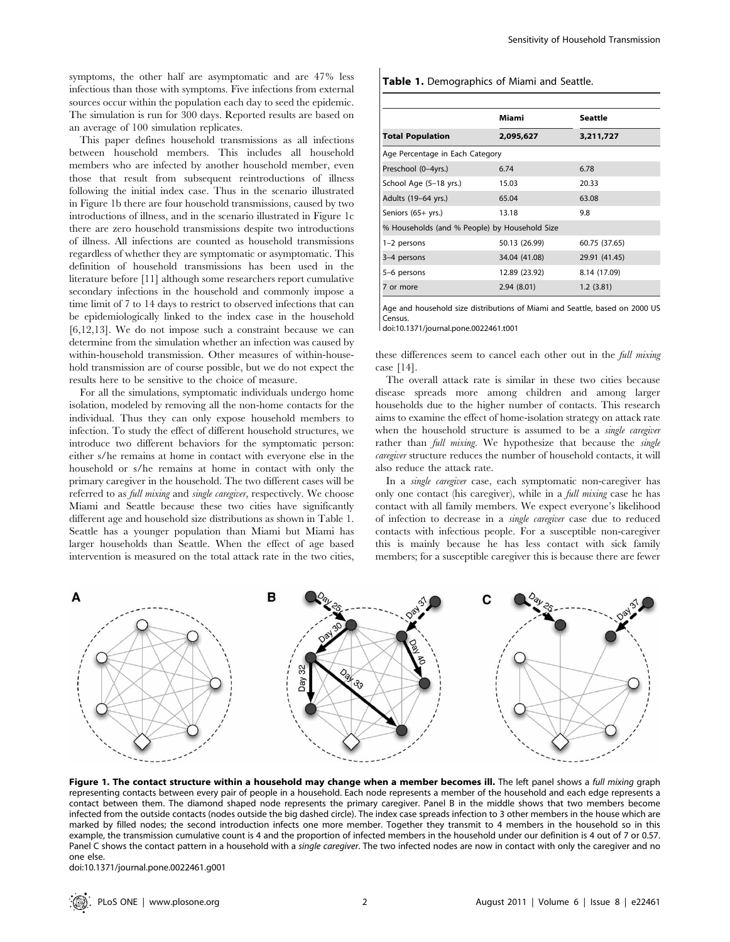symptoms, the other half are asymptomatic and are 47% less infectious than those with symptoms. Five infections from external sources occur within the population each day to seed the epidemic. The simulation is run for 300 days. Reported results are based on an average of 100 simulation replicates.

This paper defines household transmissions as all infections between household members. This includes all household members who are infected by another household member, even those that result from subsequent reintroductions of illness following the initial index case. Thus in the scenario illustrated in Figure 1b there are four household transmissions, caused by two introductions of illness, and in the scenario illustrated in Figure 1c there are zero household transmissions despite two introductions of illness. All infections are counted as household transmissions regardless of whether they are symptomatic or asymptomatic. This definition of household transmissions has been used in the literature before [11] although some researchers report cumulative secondary infections in the household and commonly impose a time limit of 7 to 14 days to restrict to observed infections that can be epidemiologically linked to the index case in the household [6,12,13]. We do not impose such a constraint because we can determine from the simulation whether an infection was caused by within-household transmission. Other measures of within-household transmission are of course possible, but we do not expect the results here to be sensitive to the choice of measure.

For all the simulations, symptomatic individuals undergo home isolation, modeled by removing all the non-home contacts for the individual. Thus they can only expose household members to infection. To study the effect of different household structures, we introduce two different behaviors for the symptomatic person: either s/he remains at home in contact with everyone else in the household or s/he remains at home in contact with only the primary caregiver in the household. The two different cases will be referred to as full mixing and single caregiver, respectively. We choose Miami and Seattle because these two cities have significantly different age and household size distributions as shown in Table 1. Seattle has a younger population than Miami but Miami has larger households than Seattle. When the effect of age based intervention is measured on the total attack rate in the two cities,

#### Table 1. Demographics of Miami and Seattle.

|                                               | Miami         | Seattle       |  |  |
|-----------------------------------------------|---------------|---------------|--|--|
| <b>Total Population</b>                       | 2,095,627     | 3,211,727     |  |  |
| Age Percentage in Each Category               |               |               |  |  |
| Preschool (0-4yrs.)                           | 6.74          | 6.78          |  |  |
| School Age (5-18 yrs.)                        | 15.03         | 20.33         |  |  |
| Adults (19-64 yrs.)                           | 65.04         | 63.08         |  |  |
| Seniors (65+ yrs.)                            | 13.18         | 9.8           |  |  |
| % Households (and % People) by Household Size |               |               |  |  |
| 1-2 persons                                   | 50.13 (26.99) | 60.75 (37.65) |  |  |
| 3-4 persons                                   | 34.04 (41.08) | 29.91 (41.45) |  |  |
| 5-6 persons                                   | 12.89 (23.92) | 8.14 (17.09)  |  |  |
| 7 or more                                     | 2.94(8.01)    | 1.2(3.81)     |  |  |

Age and household size distributions of Miami and Seattle, based on 2000 US Census.

doi:10.1371/journal.pone.0022461.t001

these differences seem to cancel each other out in the full mixing case [14].

The overall attack rate is similar in these two cities because disease spreads more among children and among larger households due to the higher number of contacts. This research aims to examine the effect of home-isolation strategy on attack rate when the household structure is assumed to be a *single caregiver* rather than *full mixing*. We hypothesize that because the *single* caregiver structure reduces the number of household contacts, it will also reduce the attack rate.

In a single caregiver case, each symptomatic non-caregiver has only one contact (his caregiver), while in a full mixing case he has contact with all family members. We expect everyone's likelihood of infection to decrease in a single caregiver case due to reduced contacts with infectious people. For a susceptible non-caregiver this is mainly because he has less contact with sick family members; for a susceptible caregiver this is because there are fewer



Figure 1. The contact structure within a household may change when a member becomes ill. The left panel shows a full mixing graph representing contacts between every pair of people in a household. Each node represents a member of the household and each edge represents a contact between them. The diamond shaped node represents the primary caregiver. Panel B in the middle shows that two members become infected from the outside contacts (nodes outside the big dashed circle). The index case spreads infection to 3 other members in the house which are marked by filled nodes; the second introduction infects one more member. Together they transmit to 4 members in the household so in this example, the transmission cumulative count is 4 and the proportion of infected members in the household under our definition is 4 out of 7 or 0.57. Panel C shows the contact pattern in a household with a single caregiver. The two infected nodes are now in contact with only the caregiver and no one else.

doi:10.1371/journal.pone.0022461.g001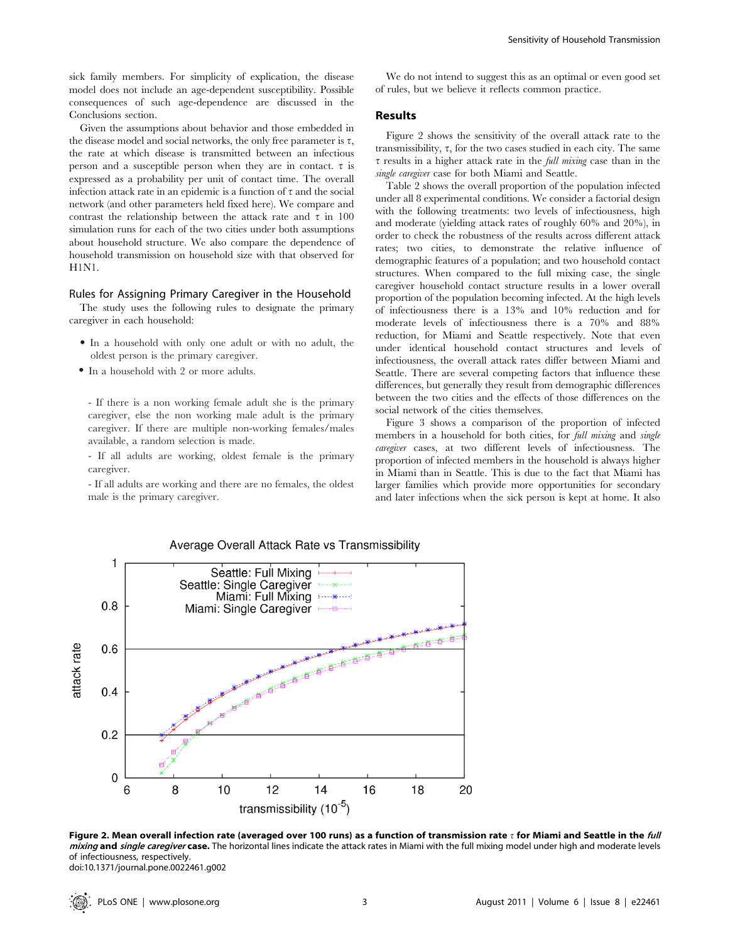sick family members. For simplicity of explication, the disease model does not include an age-dependent susceptibility. Possible consequences of such age-dependence are discussed in the Conclusions section.

Given the assumptions about behavior and those embedded in the disease model and social networks, the only free parameter is  $\tau$ , the rate at which disease is transmitted between an infectious person and a susceptible person when they are in contact.  $\tau$  is expressed as a probability per unit of contact time. The overall infection attack rate in an epidemic is a function of  $\tau$  and the social network (and other parameters held fixed here). We compare and contrast the relationship between the attack rate and  $\tau$  in 100 simulation runs for each of the two cities under both assumptions about household structure. We also compare the dependence of household transmission on household size with that observed for H1N1.

#### Rules for Assigning Primary Caregiver in the Household

The study uses the following rules to designate the primary caregiver in each household:

- N In a household with only one adult or with no adult, the oldest person is the primary caregiver.
- In a household with 2 or more adults.

- If there is a non working female adult she is the primary caregiver, else the non working male adult is the primary caregiver. If there are multiple non-working females/males available, a random selection is made.

- If all adults are working, oldest female is the primary caregiver.

- If all adults are working and there are no females, the oldest male is the primary caregiver.

We do not intend to suggest this as an optimal or even good set of rules, but we believe it reflects common practice.

#### Results

Figure 2 shows the sensitivity of the overall attack rate to the transmissibility,  $\tau$ , for the two cases studied in each city. The same  $\tau$  results in a higher attack rate in the *full mixing* case than in the single caregiver case for both Miami and Seattle.

Table 2 shows the overall proportion of the population infected under all 8 experimental conditions. We consider a factorial design with the following treatments: two levels of infectiousness, high and moderate (yielding attack rates of roughly 60% and 20%), in order to check the robustness of the results across different attack rates; two cities, to demonstrate the relative influence of demographic features of a population; and two household contact structures. When compared to the full mixing case, the single caregiver household contact structure results in a lower overall proportion of the population becoming infected. At the high levels of infectiousness there is a 13% and 10% reduction and for moderate levels of infectiousness there is a 70% and 88% reduction, for Miami and Seattle respectively. Note that even under identical household contact structures and levels of infectiousness, the overall attack rates differ between Miami and Seattle. There are several competing factors that influence these differences, but generally they result from demographic differences between the two cities and the effects of those differences on the social network of the cities themselves.

Figure 3 shows a comparison of the proportion of infected members in a household for both cities, for *full mixing* and *single* caregiver cases, at two different levels of infectiousness. The proportion of infected members in the household is always higher in Miami than in Seattle. This is due to the fact that Miami has larger families which provide more opportunities for secondary and later infections when the sick person is kept at home. It also



Average Overall Attack Rate vs Transmissibility

Figure 2. Mean overall infection rate (averaged over 100 runs) as a function of transmission rate  $\tau$  for Miami and Seattle in the full mixing and single caregiver case. The horizontal lines indicate the attack rates in Miami with the full mixing model under high and moderate levels of infectiousness, respectively. doi:10.1371/journal.pone.0022461.g002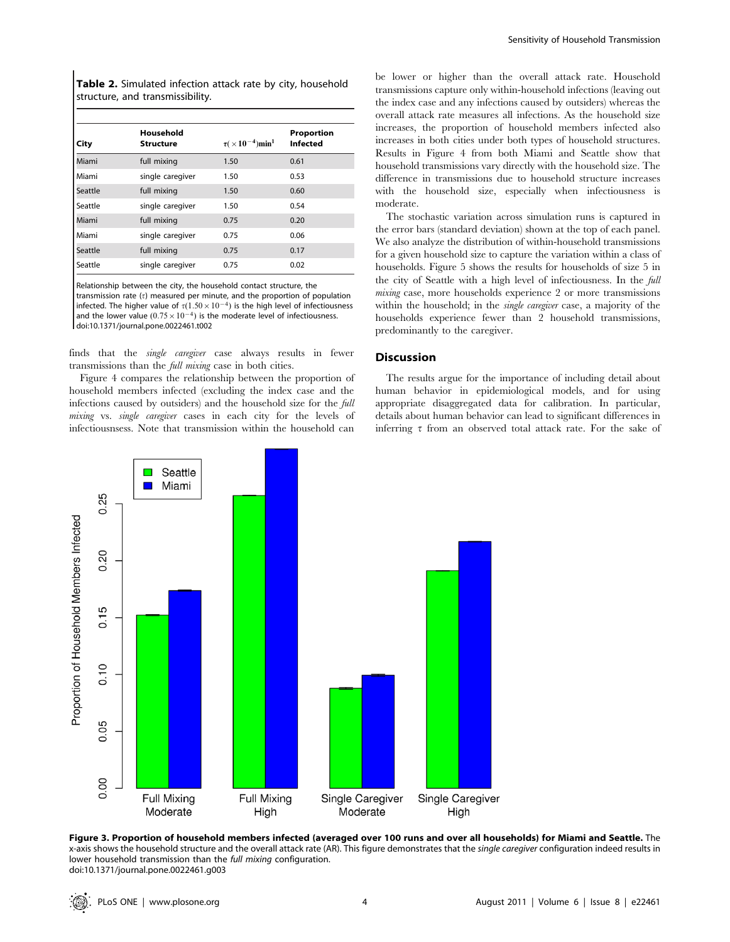Table 2. Simulated infection attack rate by city, household structure, and transmissibility.

| City    | Household<br><b>Structure</b> | $\tau (\times 10^{-4})$ min <sup>1</sup> | Proportion<br><b>Infected</b> |
|---------|-------------------------------|------------------------------------------|-------------------------------|
| Miami   | full mixing                   | 1.50                                     | 0.61                          |
| Miami   | single caregiver              | 1.50                                     | 0.53                          |
| Seattle | full mixing                   | 1.50                                     | 0.60                          |
| Seattle | single caregiver              | 1.50                                     | 0.54                          |
| Miami   | full mixing                   | 0.75                                     | 0.20                          |
| Miami   | single caregiver              | 0.75                                     | 0.06                          |
| Seattle | full mixing                   | 0.75                                     | 0.17                          |
| Seattle | single caregiver              | 0.75                                     | 0.02                          |

Relationship between the city, the household contact structure, the

transmission rate  $(\tau)$  measured per minute, and the proportion of population infected. The higher value of  $\tau(1.50\times10^{-4})$  is the high level of infectiousness and the lower value  $(0.75\times10^{-4})$  is the moderate level of infectiousness. doi:10.1371/journal.pone.0022461.t002

finds that the single caregiver case always results in fewer transmissions than the full mixing case in both cities.

Figure 4 compares the relationship between the proportion of household members infected (excluding the index case and the infections caused by outsiders) and the household size for the full mixing vs. single caregiver cases in each city for the levels of infectiousnsess. Note that transmission within the household can be lower or higher than the overall attack rate. Household transmissions capture only within-household infections (leaving out the index case and any infections caused by outsiders) whereas the overall attack rate measures all infections. As the household size increases, the proportion of household members infected also increases in both cities under both types of household structures. Results in Figure 4 from both Miami and Seattle show that household transmissions vary directly with the household size. The difference in transmissions due to household structure increases with the household size, especially when infectiousness is moderate.

The stochastic variation across simulation runs is captured in the error bars (standard deviation) shown at the top of each panel. We also analyze the distribution of within-household transmissions for a given household size to capture the variation within a class of households. Figure 5 shows the results for households of size 5 in the city of Seattle with a high level of infectiousness. In the full mixing case, more households experience 2 or more transmissions within the household; in the single caregiver case, a majority of the households experience fewer than 2 household transmissions, predominantly to the caregiver.

#### **Discussion**

The results argue for the importance of including detail about human behavior in epidemiological models, and for using appropriate disaggregated data for calibration. In particular, details about human behavior can lead to significant differences in inferring  $\tau$  from an observed total attack rate. For the sake of



Figure 3. Proportion of household members infected (averaged over 100 runs and over all households) for Miami and Seattle. The x-axis shows the household structure and the overall attack rate (AR). This figure demonstrates that the single caregiver configuration indeed results in lower household transmission than the full mixing configuration. doi:10.1371/journal.pone.0022461.g003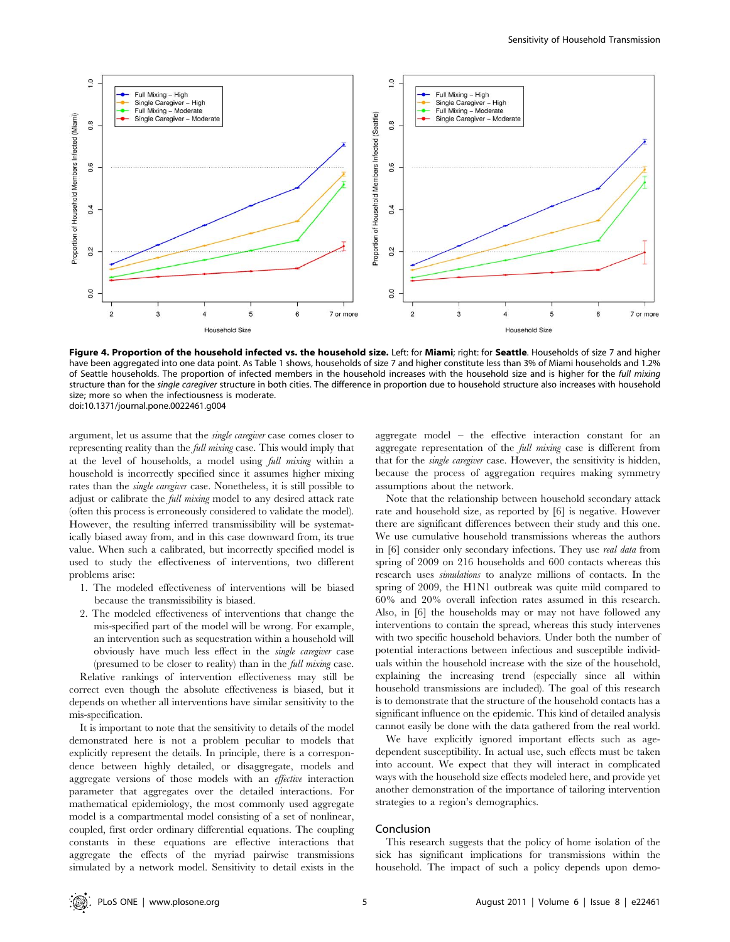

Figure 4. Proportion of the household infected vs. the household size. Left: for Miami; right: for Seattle. Households of size 7 and higher have been aggregated into one data point. As Table 1 shows, households of size 7 and higher constitute less than 3% of Miami households and 1.2% of Seattle households. The proportion of infected members in the household increases with the household size and is higher for the full mixing structure than for the single caregiver structure in both cities. The difference in proportion due to household structure also increases with household size; more so when the infectiousness is moderate. doi:10.1371/journal.pone.0022461.g004

argument, let us assume that the single caregiver case comes closer to representing reality than the full mixing case. This would imply that at the level of households, a model using full mixing within a household is incorrectly specified since it assumes higher mixing rates than the single caregiver case. Nonetheless, it is still possible to adjust or calibrate the full mixing model to any desired attack rate (often this process is erroneously considered to validate the model). However, the resulting inferred transmissibility will be systematically biased away from, and in this case downward from, its true value. When such a calibrated, but incorrectly specified model is used to study the effectiveness of interventions, two different problems arise:

- 1. The modeled effectiveness of interventions will be biased because the transmissibility is biased.
- 2. The modeled effectiveness of interventions that change the mis-specified part of the model will be wrong. For example, an intervention such as sequestration within a household will obviously have much less effect in the single caregiver case (presumed to be closer to reality) than in the full mixing case.

Relative rankings of intervention effectiveness may still be correct even though the absolute effectiveness is biased, but it depends on whether all interventions have similar sensitivity to the mis-specification.

It is important to note that the sensitivity to details of the model demonstrated here is not a problem peculiar to models that explicitly represent the details. In principle, there is a correspondence between highly detailed, or disaggregate, models and aggregate versions of those models with an effective interaction parameter that aggregates over the detailed interactions. For mathematical epidemiology, the most commonly used aggregate model is a compartmental model consisting of a set of nonlinear, coupled, first order ordinary differential equations. The coupling constants in these equations are effective interactions that aggregate the effects of the myriad pairwise transmissions simulated by a network model. Sensitivity to detail exists in the

aggregate model – the effective interaction constant for an aggregate representation of the full mixing case is different from that for the single caregiver case. However, the sensitivity is hidden, because the process of aggregation requires making symmetry assumptions about the network.

Note that the relationship between household secondary attack rate and household size, as reported by [6] is negative. However there are significant differences between their study and this one. We use cumulative household transmissions whereas the authors in [6] consider only secondary infections. They use real data from spring of 2009 on 216 households and 600 contacts whereas this research uses simulations to analyze millions of contacts. In the spring of 2009, the H1N1 outbreak was quite mild compared to 60% and 20% overall infection rates assumed in this research. Also, in [6] the households may or may not have followed any interventions to contain the spread, whereas this study intervenes with two specific household behaviors. Under both the number of potential interactions between infectious and susceptible individuals within the household increase with the size of the household, explaining the increasing trend (especially since all within household transmissions are included). The goal of this research is to demonstrate that the structure of the household contacts has a significant influence on the epidemic. This kind of detailed analysis cannot easily be done with the data gathered from the real world.

We have explicitly ignored important effects such as agedependent susceptibility. In actual use, such effects must be taken into account. We expect that they will interact in complicated ways with the household size effects modeled here, and provide yet another demonstration of the importance of tailoring intervention strategies to a region's demographics.

#### Conclusion

This research suggests that the policy of home isolation of the sick has significant implications for transmissions within the household. The impact of such a policy depends upon demo-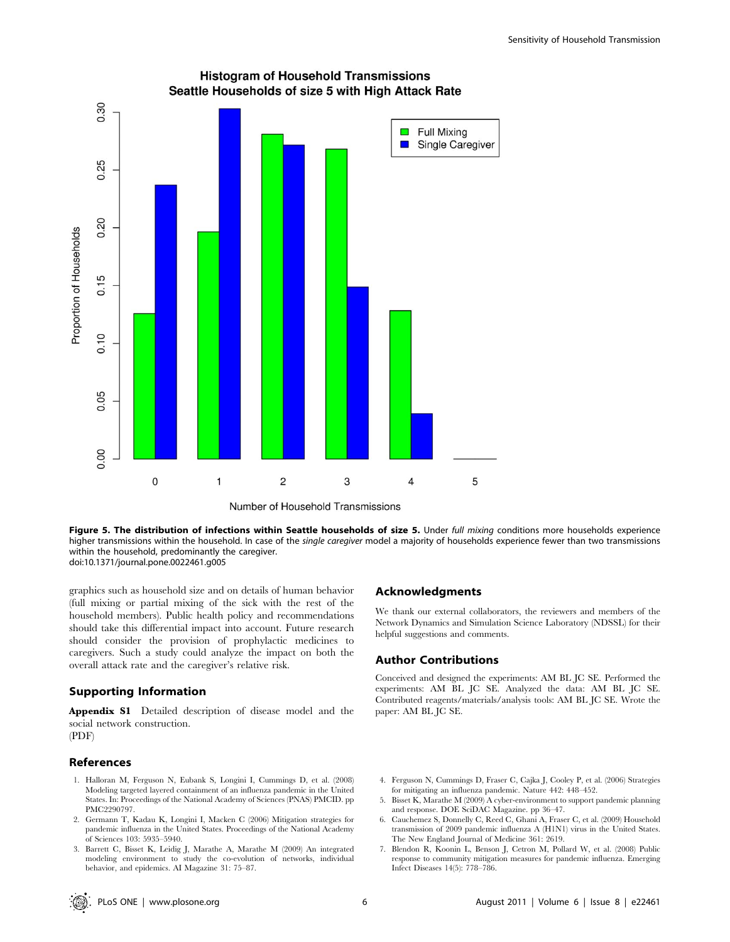



Number of Household Transmissions

Figure 5. The distribution of infections within Seattle households of size 5. Under full mixing conditions more households experience higher transmissions within the household. In case of the single caregiver model a majority of households experience fewer than two transmissions within the household, predominantly the caregiver. doi:10.1371/journal.pone.0022461.g005

graphics such as household size and on details of human behavior (full mixing or partial mixing of the sick with the rest of the household members). Public health policy and recommendations should take this differential impact into account. Future research should consider the provision of prophylactic medicines to caregivers. Such a study could analyze the impact on both the overall attack rate and the caregiver's relative risk.

#### Supporting Information

Appendix S1 Detailed description of disease model and the social network construction. (PDF)

#### References

- 1. Halloran M, Ferguson N, Eubank S, Longini I, Cummings D, et al. (2008) Modeling targeted layered containment of an influenza pandemic in the United States. In: Proceedings of the National Academy of Sciences (PNAS) PMCID. pp PMC2290797.
- 2. Germann T, Kadau K, Longini I, Macken C (2006) Mitigation strategies for pandemic influenza in the United States. Proceedings of the National Academy of Sciences 103: 5935–5940.
- 3. Barrett C, Bisset K, Leidig J, Marathe A, Marathe M (2009) An integrated modeling environment to study the co-evolution of networks, individual behavior, and epidemics. AI Magazine 31: 75–87.

#### Acknowledgments

We thank our external collaborators, the reviewers and members of the Network Dynamics and Simulation Science Laboratory (NDSSL) for their helpful suggestions and comments.

#### Author Contributions

Conceived and designed the experiments: AM BL JC SE. Performed the experiments: AM BL JC SE. Analyzed the data: AM BL JC SE. Contributed reagents/materials/analysis tools: AM BL JC SE. Wrote the paper: AM BL JC SE.

- 4. Ferguson N, Cummings D, Fraser C, Cajka J, Cooley P, et al. (2006) Strategies for mitigating an influenza pandemic. Nature 442: 448–452.
- 5. Bisset K, Marathe M (2009) A cyber-environment to support pandemic planning and response. DOE SciDAC Magazine. pp 36–47.
- 6. Cauchemez S, Donnelly C, Reed C, Ghani A, Fraser C, et al. (2009) Household transmission of 2009 pandemic influenza A (H1N1) virus in the United States. The New England Journal of Medicine 361: 2619.
- 7. Blendon R, Koonin L, Benson J, Cetron M, Pollard W, et al. (2008) Public response to community mitigation measures for pandemic influenza. Emerging Infect Diseases 14(5): 778–786.